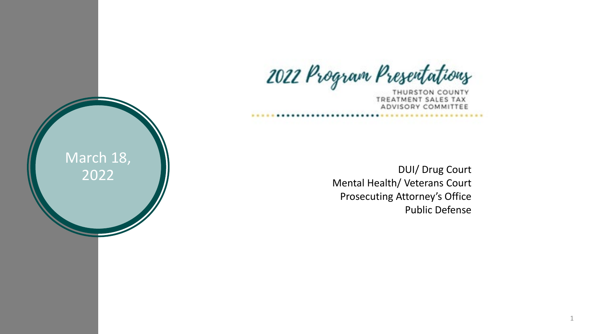2022 Program Presentations

THURSTON COUNTY TREATMENT SALES TAX ADVISORY COMMITTEE

DUI/ Drug Court Mental Health/ Veterans Court Prosecuting Attorney's Office Public Defense

1

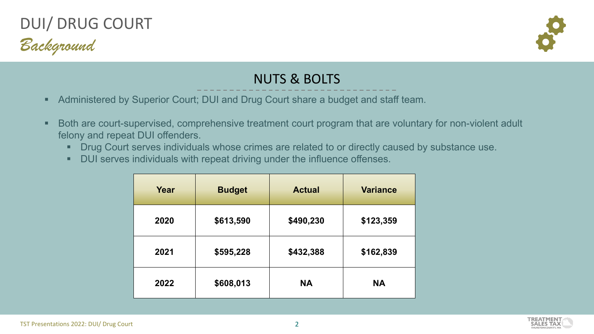## *Background* DUI/ DRUG COURT



#### NUTS & BOLTS

- **Administered by Superior Court; DUI and Drug Court share a budget and staff team.**
- Both are court-supervised, comprehensive treatment court program that are voluntary for non-violent adult felony and repeat DUI offenders.
	- **Drug Court serves individuals whose crimes are related to or directly caused by substance use.**
	- **-** DUI serves individuals with repeat driving under the influence offenses.

| Year | <b>Budget</b> | <b>Actual</b> | <b>Variance</b> |
|------|---------------|---------------|-----------------|
| 2020 | \$613,590     | \$490,230     | \$123,359       |
| 2021 | \$595,228     | \$432,388     | \$162,839       |
| 2022 | \$608,013     | <b>NA</b>     | <b>NA</b>       |

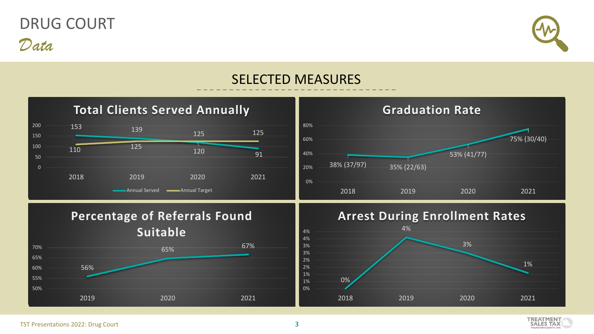## *Data* DRUG COURT





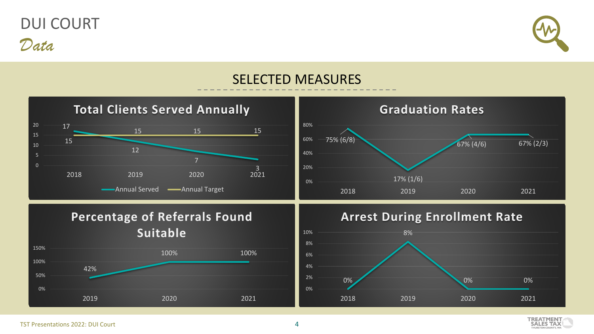





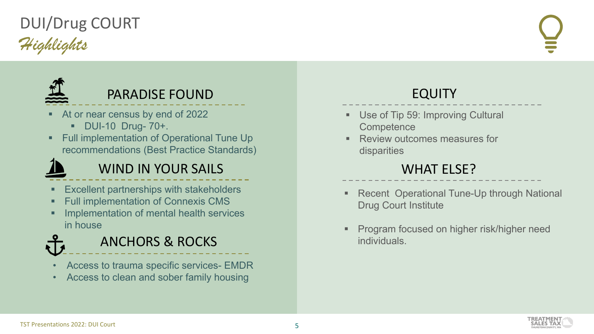## *Highlights* DUI/Drug COURT



#### PARADISE FOUND

- At or near census by end of 2022
	- **DUI-10 Drug- 70+.**
- Full implementation of Operational Tune Up recommendations (Best Practice Standards)

#### WIND IN YOUR SAILS

- **Excellent partnerships with stakeholders**
- Full implementation of Connexis CMS
- **Implementation of mental health services** in house

#### ANCHORS & ROCKS

- Access to trauma specific services- EMDR
- Access to clean and sober family housing

#### EQUITY

- **Use of Tip 59: Improving Cultural Competence**
- Review outcomes measures for disparities

- **Recent Operational Tune-Up through National** Drug Court Institute
- **Program focused on higher risk/higher need** individuals.

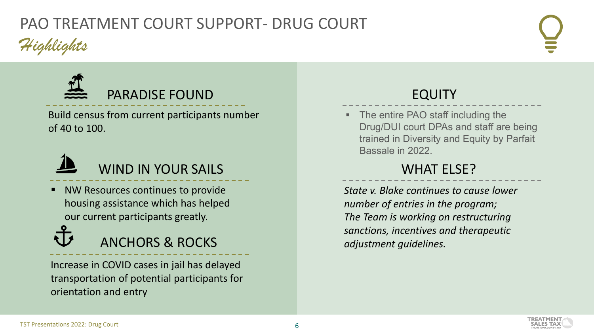## *Highlights* PAO TREATMENT COURT SUPPORT- DRUG COURT



#### PARADISE FOUND

Build census from current participants number of 40 to 100.



## WIND IN YOUR SAILS

 NW Resources continues to provide housing assistance which has helped our current participants greatly.



Increase in COVID cases in jail has delayed transportation of potential participants for orientation and entry

#### EQUITY

 The entire PAO staff including the Drug/DUI court DPAs and staff are being trained in Diversity and Equity by Parfait Bassale in 2022.

#### WHAT ELSE?

*State v. Blake continues to cause lower number of entries in the program; The Team is working on restructuring sanctions, incentives and therapeutic adjustment guidelines.*

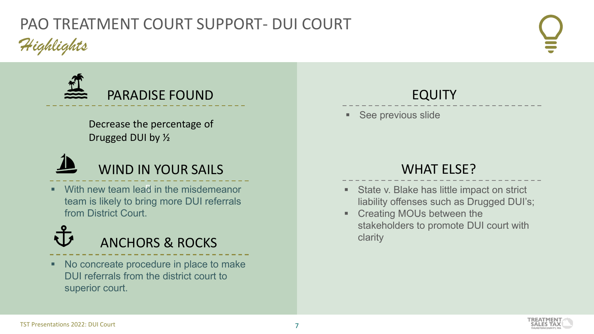## *Highlights* PAO TREATMENT COURT SUPPORT- DUI COURT



Decrease the percentage of Drugged DUI by ½



## WIND IN YOUR SAILS

• With new team lead in the misdemeanor team is likely to bring more DUI referrals from District Court.



• No concreate procedure in place to make DUI referrals from the district court to superior court.

#### EQUITY

**See previous slide** 

- State v. Blake has little impact on strict liability offenses such as Drugged DUI's;
- **Creating MOUs between the** stakeholders to promote DUI court with clarity

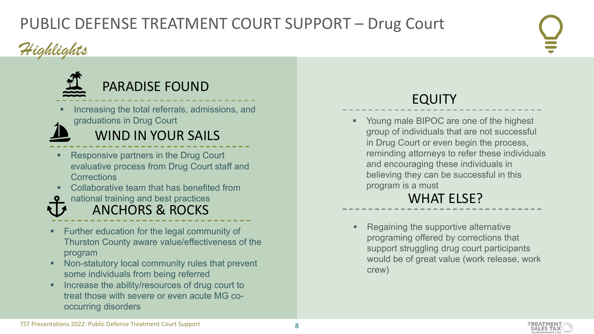### PUBLIC DEFENSE TREATMENT COURT SUPPORT – Drug Court



*Highlights*

#### PARADISE FOUND

\_\_\_\_\_\_\_\_\_\_\_\_\_\_\_\_\_\_\_\_\_\_\_\_\_\_\_\_\_\_<br>Increasing the total referrals, admissions, and \_\_\_\_\_\_\_\_\_\_\_\_\_\_\_\_\_\_\_\_\_\_\_\_\_\_\_\_\_\_\_\_ graduations in Drug Court **The Court Court is a structure of the highest** System of the highest

#### WIND IN YOUR SAILS

- **Responsive partners in the Drug Court** evaluative process from Drug Court staff and **Corrections**
- Collaborative team that has benefited from
- ANCHORS & ROCKS national training and best practices
- **Further education for the legal community of** Thurston County aware value/effectiveness of the program
- **Non-statutory local community rules that prevent** some individuals from being referred
- Increase the ability/resources of drug court to treat those with severe or even acute MG cooccurring disorders

group of individuals that are not successful in Drug Court or even begin the process, reminding attorneys to refer these individuals and encouraging these individuals in believing they can be successful in this program is a must

#### WHAT ELSE?

 Regaining the supportive alternative programing offered by corrections that support struggling drug court participants would be of great value (work release, work crew)



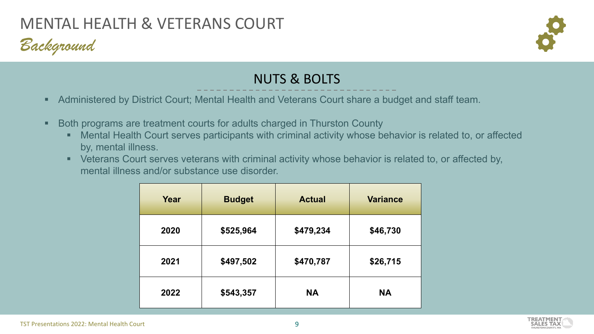## MENTAL HEALTH & VETERANS COURT





#### NUTS & BOLTS

- **Administered by District Court; Mental Health and Veterans Court share a budget and staff team.**
- Both programs are treatment courts for adults charged in Thurston County
	- Mental Health Court serves participants with criminal activity whose behavior is related to, or affected by, mental illness.
	- Veterans Court serves veterans with criminal activity whose behavior is related to, or affected by, mental illness and/or substance use disorder.

| Year | <b>Budget</b> | <b>Actual</b> | <b>Variance</b> |
|------|---------------|---------------|-----------------|
| 2020 | \$525,964     | \$479,234     | \$46,730        |
| 2021 | \$497,502     | \$470,787     | \$26,715        |
| 2022 | \$543,357     | <b>NA</b>     | <b>NA</b>       |

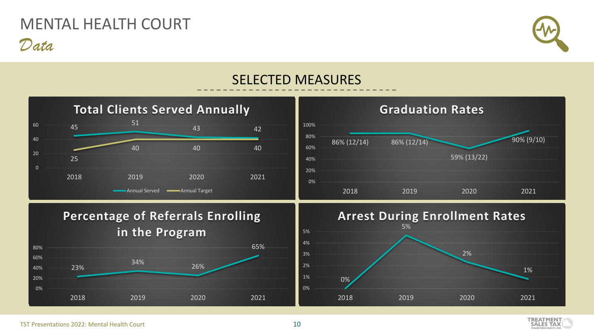#### *Data* MENTAL HEALTH COURT





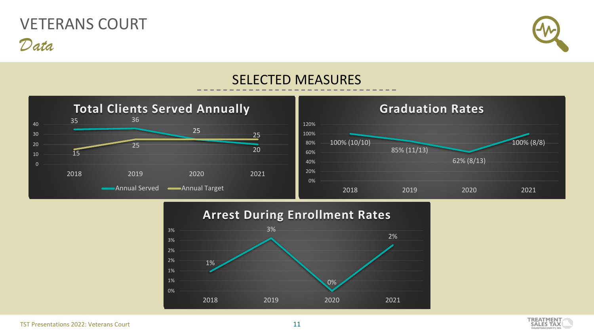### *Data* VETERANS COURT







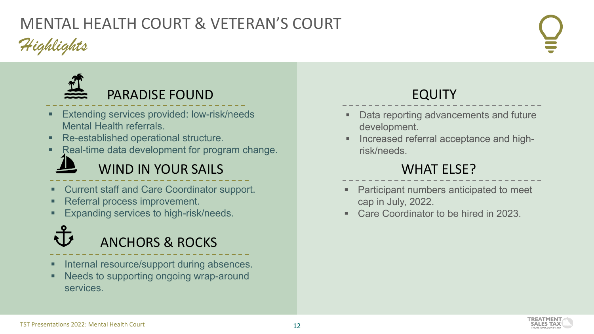## *Highlights* MENTAL HEALTH COURT & VETERAN'S COURT



#### PARADISE FOUND

- Extending services provided: low-risk/needs Mental Health referrals.
- Re-established operational structure.
- Real-time data development for program change.

#### WIND IN YOUR SAILS

- **Current staff and Care Coordinator support.**
- Referral process improvement.
- **Expanding services to high-risk/needs.**

# ANCHORS & ROCKS

- **Internal resource/support during absences.**
- Needs to supporting ongoing wrap-around services.

#### EQUITY

- Data reporting advancements and future development.
- Increased referral acceptance and highrisk/needs.

- Participant numbers anticipated to meet cap in July, 2022.
- Care Coordinator to be hired in 2023

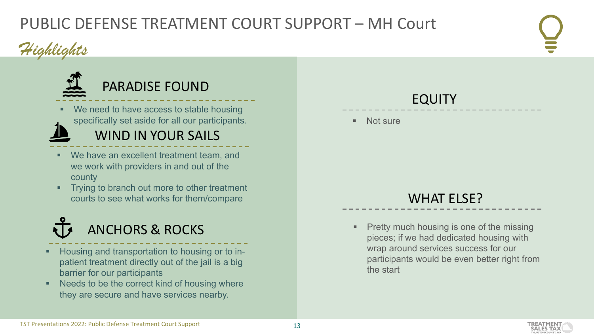#### PUBLIC DEFENSE TREATMENT COURT SUPPORT – MH Court

## PARADISE FOUND

*Highlights*

EQUITY We need to have access to stable housing specifically set aside for all our participants.

#### WIND IN YOUR SAILS

- We have an excellent treatment team, and we work with providers in and out of the county
- **Trying to branch out more to other treatment** courts to see what works for them/compare

## ANCHORS & ROCKS

- Housing and transportation to housing or to inpatient treatment directly out of the jail is a big barrier for our participants
- Needs to be the correct kind of housing where they are secure and have services nearby.

#### WHAT ELSE?

 Pretty much housing is one of the missing pieces; if we had dedicated housing with wrap around services success for our participants would be even better right from the start



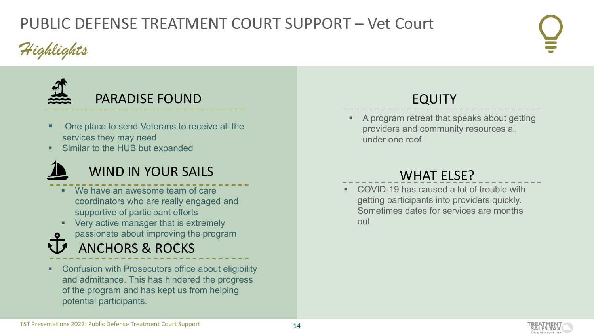### PUBLIC DEFENSE TREATMENT COURT SUPPORT – Vet Court

*Highlights*





- One place to send Veterans to receive all the services they may need
- Similar to the HUB but expanded



#### WIND IN YOUR SAILS

- We have an awesome team of care coordinators who are really engaged and supportive of participant efforts
- Very active manager that is extremely
- passionate about improving the program
- ANCHORS & ROCKS
- Confusion with Prosecutors office about eligibility and admittance. This has hindered the progress of the program and has kept us from helping potential participants.

#### EQUITY

 A program retreat that speaks about getting providers and community resources all under one roof

#### WHAT ELSE?

**COVID-19 has caused a lot of trouble with** getting participants into providers quickly. Sometimes dates for services are months out

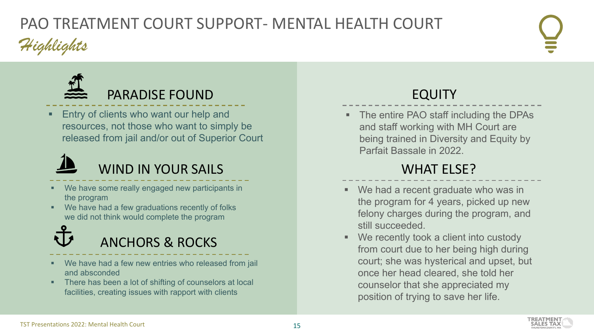## *Highlights* PAO TREATMENT COURT SUPPORT- MENTAL HEALTH COURT



 Entry of clients who want our help and resources, not those who want to simply be released from jail and/or out of Superior Court



## WIND IN YOUR SAILS

- We have some really engaged new participants in the program
- We have had a few graduations recently of folks we did not think would complete the program

# ANCHORS & ROCKS

- We have had a few new entries who released from jail and absconded
- **There has been a lot of shifting of counselors at local** facilities, creating issues with rapport with clients

#### EQUITY

 The entire PAO staff including the DPAs and staff working with MH Court are being trained in Diversity and Equity by Parfait Bassale in 2022.

- We had a recent graduate who was in the program for 4 years, picked up new felony charges during the program, and still succeeded.
- We recently took a client into custody from court due to her being high during court; she was hysterical and upset, but once her head cleared, she told her counselor that she appreciated my position of trying to save her life.

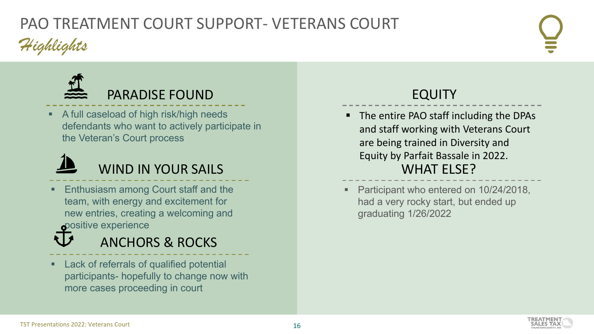## *Highlights* PAO TREATMENT COURT SUPPORT- VETERANS COURT



 A full caseload of high risk/high needs defendants who want to actively participate in the Veteran's Court process



## WIND IN YOUR SAILS

**Enthusiasm among Court staff and the** team, with energy and excitement for new entries, creating a welcoming and positive experience

### ANCHORS & ROCKS

**Lack of referrals of qualified potential** participants- hopefully to change now with more cases proceeding in court

#### EQUITY

- The entire PAO staff including the DPAs and staff working with Veterans Court are being trained in Diversity and Equity by Parfait Bassale in 2022. WHAT ELSE?
- Participant who entered on 10/24/2018, had a very rocky start, but ended up graduating 1/26/2022

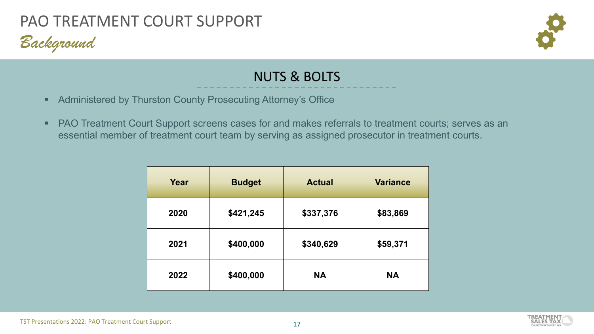## *Background* PAO TREATMENT COURT SUPPORT



#### NUTS & BOLTS

- **Administered by Thurston County Prosecuting Attorney's Office**
- PAO Treatment Court Support screens cases for and makes referrals to treatment courts; serves as an essential member of treatment court team by serving as assigned prosecutor in treatment courts.

| Year | <b>Budget</b> | <b>Actual</b> | <b>Variance</b> |
|------|---------------|---------------|-----------------|
| 2020 | \$421,245     | \$337,376     | \$83,869        |
| 2021 | \$400,000     | \$340,629     | \$59,371        |
| 2022 | \$400,000     | <b>NA</b>     | <b>NA</b>       |

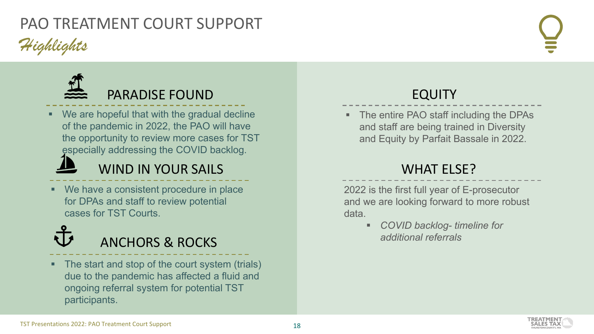## *Highlights* PAO TREATMENT COURT SUPPORT



PARADISE FOUND

We are hopeful that with the gradual decline of the pandemic in 2022, the PAO will have the opportunity to review more cases for TST especially addressing the COVID backlog.

#### WIND IN YOUR SAILS

 We have a consistent procedure in place for DPAs and staff to review potential cases for TST Courts.

# ANCHORS & ROCKS

• The start and stop of the court system (trials) due to the pandemic has affected a fluid and ongoing referral system for potential TST participants.

#### EQUITY

 The entire PAO staff including the DPAs and staff are being trained in Diversity and Equity by Parfait Bassale in 2022.

#### WHAT ELSE?

2022 is the first full year of E-prosecutor and we are looking forward to more robust data.

 *COVID backlog- timeline for additional referrals*